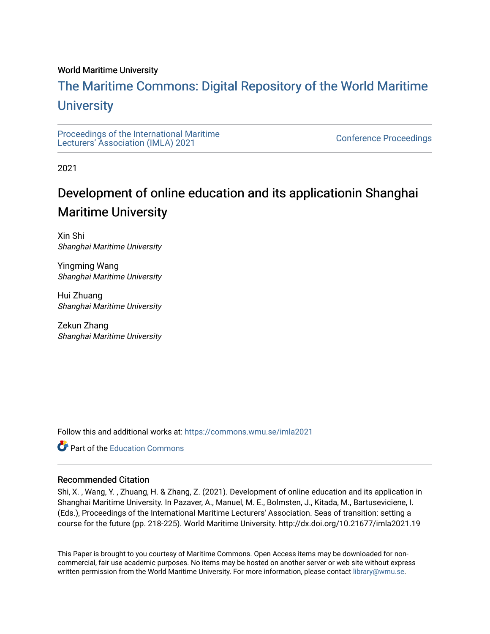### World Maritime University

# [The Maritime Commons: Digital Repository of the World Maritime](https://commons.wmu.se/)  **University**

[Proceedings of the International Maritime](https://commons.wmu.se/imla2021)  Proceedings of the international manufacture<br>[Lecturers' Association \(IMLA\) 2021](https://commons.wmu.se/imla2021)

2021

# Development of online education and its applicationin Shanghai Maritime University

Xin Shi Shanghai Maritime University

Yingming Wang Shanghai Maritime University

Hui Zhuang Shanghai Maritime University

Zekun Zhang Shanghai Maritime University

Follow this and additional works at: [https://commons.wmu.se/imla2021](https://commons.wmu.se/imla2021?utm_source=commons.wmu.se%2Fimla2021%2F24&utm_medium=PDF&utm_campaign=PDFCoverPages)

**C** Part of the [Education Commons](http://network.bepress.com/hgg/discipline/784?utm_source=commons.wmu.se%2Fimla2021%2F24&utm_medium=PDF&utm_campaign=PDFCoverPages)

#### Recommended Citation

Shi, X. , Wang, Y. , Zhuang, H. & Zhang, Z. (2021). Development of online education and its application in Shanghai Maritime University. In Pazaver, A., Manuel, M. E., Bolmsten, J., Kitada, M., Bartuseviciene, I. (Eds.), Proceedings of the International Maritime Lecturers' Association. Seas of transition: setting a course for the future (pp. 218-225). World Maritime University. http://dx.doi.org/10.21677/imla2021.19

This Paper is brought to you courtesy of Maritime Commons. Open Access items may be downloaded for noncommercial, fair use academic purposes. No items may be hosted on another server or web site without express written permission from the World Maritime University. For more information, please contact [library@wmu.se](mailto:library@wmu.edu).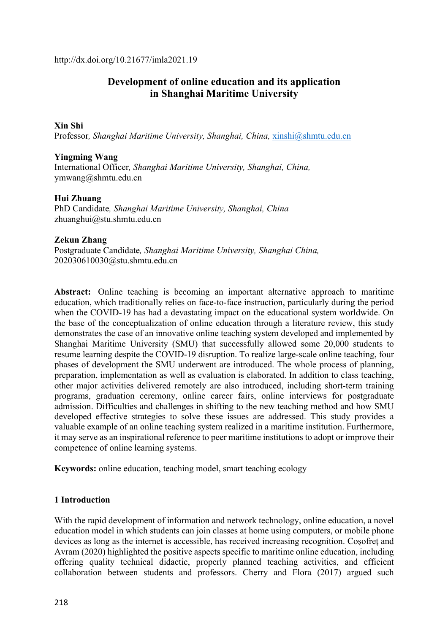http://dx.doi.org/10.21677/imla2021.19

# **Development of online education and its application in Shanghai Maritime University**

## **Xin Shi**

Professor*, Shanghai Maritime University, Shanghai, China,* xinshi@shmtu.edu.cn

## **Yingming Wang**

International Officer*, Shanghai Maritime University, Shanghai, China,*  ymwang@shmtu.edu.cn

## **Hui Zhuang**

PhD Candidate*, Shanghai Maritime University, Shanghai, China*  zhuanghui@stu.shmtu.edu.cn

#### **Zekun Zhang**

Postgraduate Candidate*, Shanghai Maritime University, Shanghai China,*  202030610030@stu.shmtu.edu.cn

**Abstract:** Online teaching is becoming an important alternative approach to maritime education, which traditionally relies on face-to-face instruction, particularly during the period when the COVID-19 has had a devastating impact on the educational system worldwide. On the base of the conceptualization of online education through a literature review, this study demonstrates the case of an innovative online teaching system developed and implemented by Shanghai Maritime University (SMU) that successfully allowed some 20,000 students to resume learning despite the COVID-19 disruption. To realize large-scale online teaching, four phases of development the SMU underwent are introduced. The whole process of planning, preparation, implementation as well as evaluation is elaborated. In addition to class teaching, other major activities delivered remotely are also introduced, including short-term training programs, graduation ceremony, online career fairs, online interviews for postgraduate admission. Difficulties and challenges in shifting to the new teaching method and how SMU developed effective strategies to solve these issues are addressed. This study provides a valuable example of an online teaching system realized in a maritime institution. Furthermore, it may serve as an inspirational reference to peer maritime institutions to adopt or improve their competence of online learning systems.

**Keywords:** online education, teaching model, smart teaching ecology

## **1 Introduction**

With the rapid development of information and network technology, online education, a novel education model in which students can join classes at home using computers, or mobile phone devices as long as the internet is accessible, has received increasing recognition. Coșofreț and Avram (2020) highlighted the positive aspects specific to maritime online education, including offering quality technical didactic, properly planned teaching activities, and efficient collaboration between students and professors. Cherry and Flora (2017) argued such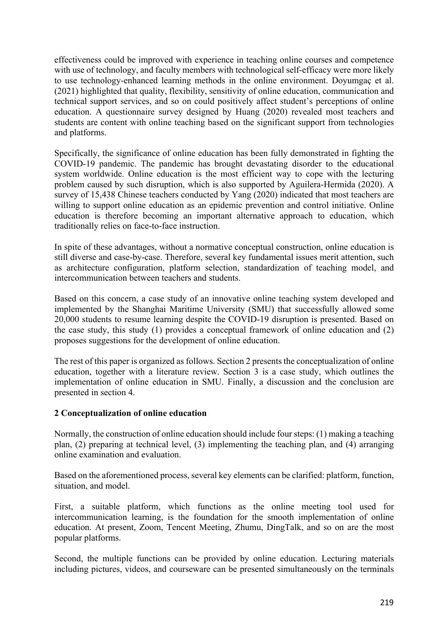effectiveness could be improved with experience in teaching online courses and competence with use of technology, and faculty members with technological self-efficacy were more likely to use technology-enhanced learning methods in the online environment. Doyumgaç et al. (2021) highlighted that quality, flexibility, sensitivity of online education, communication and technical support services, and so on could positively affect student's perceptions of online education. A questionnaire survey designed by Huang (2020) revealed most teachers and students are content with online teaching based on the significant support from technologies and platforms.

Specifically, the significance of online education has been fully demonstrated in fighting the COVID-19 pandemic. The pandemic has brought devastating disorder to the educational system worldwide. Online education is the most efficient way to cope with the lecturing problem caused by such disruption, which is also supported by Aguilera-Hermida (2020). A survey of 15,438 Chinese teachers conducted by Yang (2020) indicated that most teachers are willing to support online education as an epidemic prevention and control initiative. Online education is therefore becoming an important alternative approach to education, which traditionally relies on face-to-face instruction.

In spite of these advantages, without a normative conceptual construction, online education is still diverse and case-by-case. Therefore, several key fundamental issues merit attention, such as architecture configuration, platform selection, standardization of teaching model, and intercommunication between teachers and students.

Based on this concern, a case study of an innovative online teaching system developed and implemented by the Shanghai Maritime University (SMU) that successfully allowed some 20,000 students to resume learning despite the COVID-19 disruption is presented. Based on the case study, this study (1) provides a conceptual framework of online education and (2) proposes suggestions for the development of online education.

The rest of this paper is organized as follows. Section 2 presents the conceptualization of online education, together with a literature review. Section 3 is a case study, which outlines the implementation of online education in SMU. Finally, a discussion and the conclusion are presented in section 4.

# **2 Conceptualization of online education**

Normally, the construction of online education should include four steps: (1) making a teaching plan, (2) preparing at technical level, (3) implementing the teaching plan, and (4) arranging online examination and evaluation.

Based on the aforementioned process, several key elements can be clarified: platform, function, situation, and model.

First, a suitable platform, which functions as the online meeting tool used for intercommunication learning, is the foundation for the smooth implementation of online education. At present, Zoom, Tencent Meeting, Zhumu, DingTalk, and so on are the most popular platforms.

Second, the multiple functions can be provided by online education. Lecturing materials including pictures, videos, and courseware can be presented simultaneously on the terminals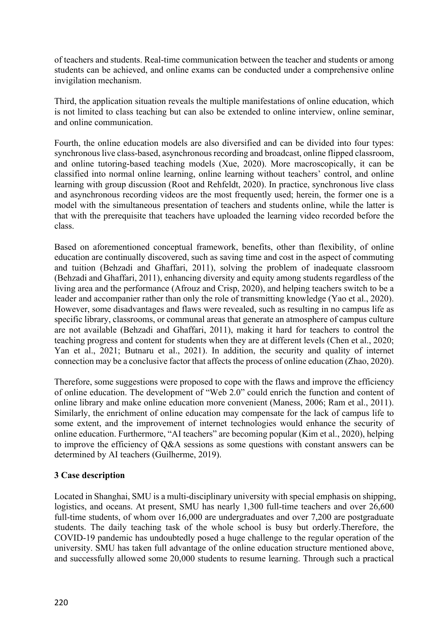of teachers and students. Real-time communication between the teacher and students or among students can be achieved, and online exams can be conducted under a comprehensive online invigilation mechanism.

Third, the application situation reveals the multiple manifestations of online education, which is not limited to class teaching but can also be extended to online interview, online seminar, and online communication.

Fourth, the online education models are also diversified and can be divided into four types: synchronous live class-based, asynchronous recording and broadcast, online flipped classroom, and online tutoring-based teaching models (Xue, 2020). More macroscopically, it can be classified into normal online learning, online learning without teachers' control, and online learning with group discussion (Root and Rehfeldt, 2020). In practice, synchronous live class and asynchronous recording videos are the most frequently used; herein, the former one is a model with the simultaneous presentation of teachers and students online, while the latter is that with the prerequisite that teachers have uploaded the learning video recorded before the class.

Based on aforementioned conceptual framework, benefits, other than flexibility, of online education are continually discovered, such as saving time and cost in the aspect of commuting and tuition (Behzadi and Ghaffari, 2011), solving the problem of inadequate classroom (Behzadi and Ghaffari, 2011), enhancing diversity and equity among students regardless of the living area and the performance (Afrouz and Crisp, 2020), and helping teachers switch to be a leader and accompanier rather than only the role of transmitting knowledge (Yao et al., 2020). However, some disadvantages and flaws were revealed, such as resulting in no campus life as specific library, classrooms, or communal areas that generate an atmosphere of campus culture are not available (Behzadi and Ghaffari, 2011), making it hard for teachers to control the teaching progress and content for students when they are at different levels (Chen et al., 2020; Yan et al., 2021; Butnaru et al., 2021). In addition, the security and quality of internet connection may be a conclusive factor that affects the process of online education (Zhao, 2020).

Therefore, some suggestions were proposed to cope with the flaws and improve the efficiency of online education. The development of "Web 2.0" could enrich the function and content of online library and make online education more convenient (Maness, 2006; Ram et al., 2011). Similarly, the enrichment of online education may compensate for the lack of campus life to some extent, and the improvement of internet technologies would enhance the security of online education. Furthermore, "AI teachers" are becoming popular (Kim et al., 2020), helping to improve the efficiency of Q&A sessions as some questions with constant answers can be determined by AI teachers (Guilherme, 2019).

# **3 Case description**

Located in Shanghai, SMU is a multi-disciplinary university with special emphasis on shipping, logistics, and oceans. At present, SMU has nearly 1,300 full-time teachers and over  $26,600$ full-time students, of whom over 16,000 are undergraduates and over 7,200 are postgraduate students. The daily teaching task of the whole school is busy but orderly.Therefore, the COVID-19 pandemic has undoubtedly posed a huge challenge to the regular operation of the university. SMU has taken full advantage of the online education structure mentioned above, and successfully allowed some 20,000 students to resume learning. Through such a practical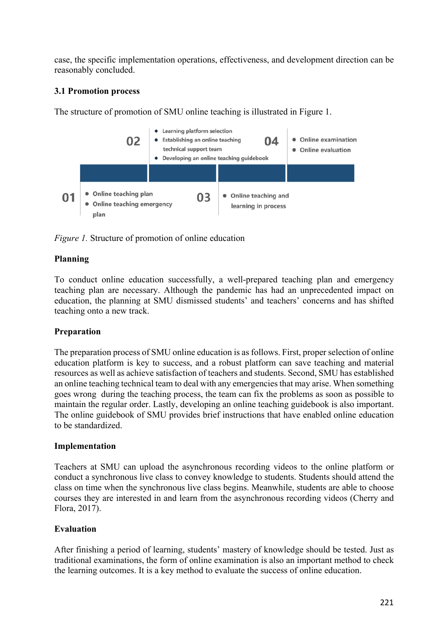case, the specific implementation operations, effectiveness, and development direction can be reasonably concluded.

# **3.1 Promotion process**

The structure of promotion of SMU online teaching is illustrated in Figure 1.



*Figure 1.* Structure of promotion of online education

# **Planning**

To conduct online education successfully, a well-prepared teaching plan and emergency teaching plan are necessary. Although the pandemic has had an unprecedented impact on education, the planning at SMU dismissed students' and teachers' concerns and has shifted teaching onto a new track.

# **Preparation**

The preparation process of SMU online education is as follows. First, proper selection of online education platform is key to success, and a robust platform can save teaching and material resources as well as achieve satisfaction of teachers and students. Second, SMU has established an online teaching technical team to deal with any emergencies that may arise. When something goes wrong during the teaching process, the team can fix the problems as soon as possible to maintain the regular order. Lastly, developing an online teaching guidebook is also important. The online guidebook of SMU provides brief instructions that have enabled online education to be standardized.

# **Implementation**

Teachers at SMU can upload the asynchronous recording videos to the online platform or conduct a synchronous live class to convey knowledge to students. Students should attend the class on time when the synchronous live class begins. Meanwhile, students are able to choose courses they are interested in and learn from the asynchronous recording videos (Cherry and Flora, 2017).

# **Evaluation**

After finishing a period of learning, students' mastery of knowledge should be tested. Just as traditional examinations, the form of online examination is also an important method to check the learning outcomes. It is a key method to evaluate the success of online education.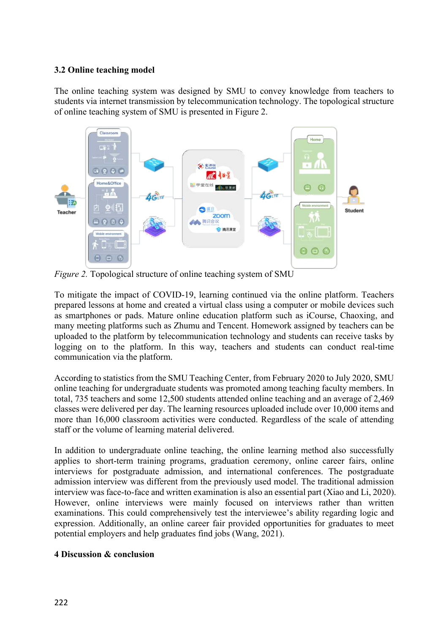## **3.2 Online teaching model**

The online teaching system was designed by SMU to convey knowledge from teachers to students via internet transmission by telecommunication technology. The topological structure of online teaching system of SMU is presented in Figure 2.



*Figure 2.* Topological structure of online teaching system of SMU

To mitigate the impact of COVID-19, learning continued via the online platform. Teachers prepared lessons at home and created a virtual class using a computer or mobile devices such as smartphones or pads. Mature online education platform such as iCourse, Chaoxing, and many meeting platforms such as Zhumu and Tencent. Homework assigned by teachers can be uploaded to the platform by telecommunication technology and students can receive tasks by logging on to the platform. In this way, teachers and students can conduct real-time communication via the platform.

According to statistics from the SMU Teaching Center, from February 2020 to July 2020, SMU online teaching for undergraduate students was promoted among teaching faculty members. In total, 735 teachers and some 12,500 students attended online teaching and an average of 2,469 classes were delivered per day. The learning resources uploaded include over 10,000 items and more than 16,000 classroom activities were conducted. Regardless of the scale of attending staff or the volume of learning material delivered.

In addition to undergraduate online teaching, the online learning method also successfully applies to short-term training programs, graduation ceremony, online career fairs, online interviews for postgraduate admission, and international conferences. The postgraduate admission interview was different from the previously used model. The traditional admission interview was face-to-face and written examination is also an essential part (Xiao and Li, 2020). However, online interviews were mainly focused on interviews rather than written examinations. This could comprehensively test the interviewee's ability regarding logic and expression. Additionally, an online career fair provided opportunities for graduates to meet potential employers and help graduates find jobs (Wang, 2021).

# **4 Discussion & conclusion**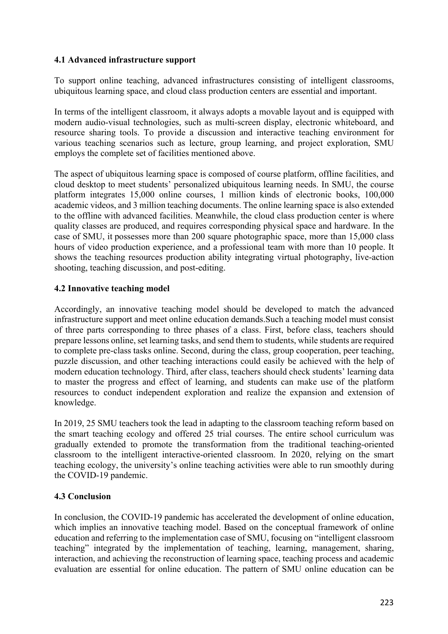# **4.1 Advanced infrastructure support**

To support online teaching, advanced infrastructures consisting of intelligent classrooms, ubiquitous learning space, and cloud class production centers are essential and important.

In terms of the intelligent classroom, it always adopts a movable layout and is equipped with modern audio-visual technologies, such as multi-screen display, electronic whiteboard, and resource sharing tools. To provide a discussion and interactive teaching environment for various teaching scenarios such as lecture, group learning, and project exploration, SMU employs the complete set of facilities mentioned above.

The aspect of ubiquitous learning space is composed of course platform, offline facilities, and cloud desktop to meet students' personalized ubiquitous learning needs. In SMU, the course platform integrates 15,000 online courses, 1 million kinds of electronic books, 100,000 academic videos, and 3 million teaching documents. The online learning space is also extended to the offline with advanced facilities. Meanwhile, the cloud class production center is where quality classes are produced, and requires corresponding physical space and hardware. In the case of SMU, it possesses more than 200 square photographic space, more than 15,000 class hours of video production experience, and a professional team with more than 10 people. It shows the teaching resources production ability integrating virtual photography, live-action shooting, teaching discussion, and post-editing.

# **4.2 Innovative teaching model**

Accordingly, an innovative teaching model should be developed to match the advanced infrastructure support and meet online education demands.Such a teaching model must consist of three parts corresponding to three phases of a class. First, before class, teachers should prepare lessons online, set learning tasks, and send them to students, while students are required to complete pre-class tasks online. Second, during the class, group cooperation, peer teaching, puzzle discussion, and other teaching interactions could easily be achieved with the help of modern education technology. Third, after class, teachers should check students' learning data to master the progress and effect of learning, and students can make use of the platform resources to conduct independent exploration and realize the expansion and extension of knowledge.

In 2019, 25 SMU teachers took the lead in adapting to the classroom teaching reform based on the smart teaching ecology and offered 25 trial courses. The entire school curriculum was gradually extended to promote the transformation from the traditional teaching-oriented classroom to the intelligent interactive-oriented classroom. In 2020, relying on the smart teaching ecology, the university's online teaching activities were able to run smoothly during the COVID-19 pandemic.

# **4.3 Conclusion**

In conclusion, the COVID-19 pandemic has accelerated the development of online education, which implies an innovative teaching model. Based on the conceptual framework of online education and referring to the implementation case of SMU, focusing on "intelligent classroom teaching" integrated by the implementation of teaching, learning, management, sharing, interaction, and achieving the reconstruction of learning space, teaching process and academic evaluation are essential for online education. The pattern of SMU online education can be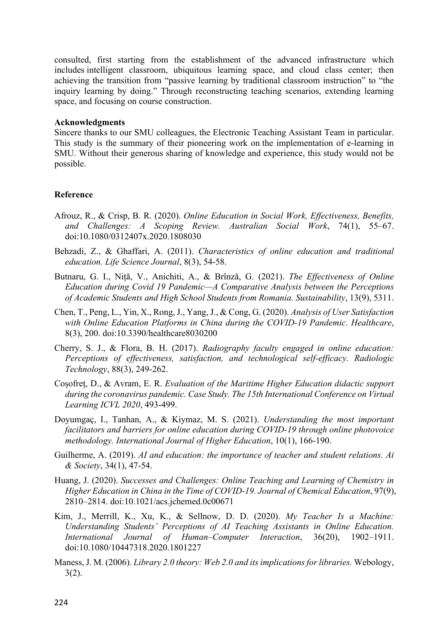consulted, first starting from the establishment of the advanced infrastructure which includes intelligent classroom, ubiquitous learning space, and cloud class center; then achieving the transition from "passive learning by traditional classroom instruction" to "the inquiry learning by doing." Through reconstructing teaching scenarios, extending learning space, and focusing on course construction.

#### **Acknowledgments**

Sincere thanks to our SMU colleagues, the Electronic Teaching Assistant Team in particular. This study is the summary of their pioneering work on the implementation of e-learning in SMU. Without their generous sharing of knowledge and experience, this study would not be possible.

## **Reference**

- Afrouz, R., & Crisp, B. R. (2020). *Online Education in Social Work, Effectiveness, Benefits, and Challenges: A Scoping Review. Australian Social Work*, 74(1), 55–67. doi:10.1080/0312407x.2020.1808030
- Behzadi, Z., & Ghaffari, A. (2011). *Characteristics of online education and traditional education. Life Science Journal*, 8(3), 54-58.
- Butnaru, G. I., Niță, V., Anichiti, A., & Brînză, G. (2021). *The Effectiveness of Online Education during Covid 19 Pandemic—A Comparative Analysis between the Perceptions of Academic Students and High School Students from Romania. Sustainability*, 13(9), 5311.
- Chen, T., Peng, L., Yin, X., Rong, J., Yang, J., & Cong, G. (2020). *Analysis of User Satisfaction with Online Education Platforms in China during the COVID-19 Pandemic*. *Healthcare*, 8(3), 200. doi:10.3390/healthcare8030200
- Cherry, S. J., & Flora, B. H. (2017). *Radiography faculty engaged in online education: Perceptions of effectiveness, satisfaction, and technological self-efficacy. Radiologic Technology*, 88(3), 249-262.
- Coșofreț, D., & Avram, E. R. *Evaluation of the Maritime Higher Education didactic support during the coronavirus pandemic. Case Study. The 15th International Conference on Virtual Learning ICVL 2020*, 493-499.
- Doyumgaç, I., Tanhan, A., & Kiymaz, M. S. (2021). *Understanding the most important facilitators and barriers for online education during COVID-19 through online photovoice methodology. International Journal of Higher Education*, 10(1), 166-190.
- Guilherme, A. (2019). *AI and education: the importance of teacher and student relations. Ai & Society*, 34(1), 47-54.
- Huang, J. (2020). *Successes and Challenges: Online Teaching and Learning of Chemistry in Higher Education in China in the Time of COVID-19. Journal of Chemical Education*, 97(9), 2810–2814. doi:10.1021/acs.jchemed.0c00671
- Kim, J., Merrill, K., Xu, K., & Sellnow, D. D. (2020). *My Teacher Is a Machine: Understanding Students' Perceptions of AI Teaching Assistants in Online Education. International Journal of Human–Computer Interaction*, 36(20), 1902–1911. doi:10.1080/10447318.2020.1801227
- Maness, J. M. (2006). *Library 2.0 theory: Web 2.0 and its implications for libraries.* Webology, 3(2).